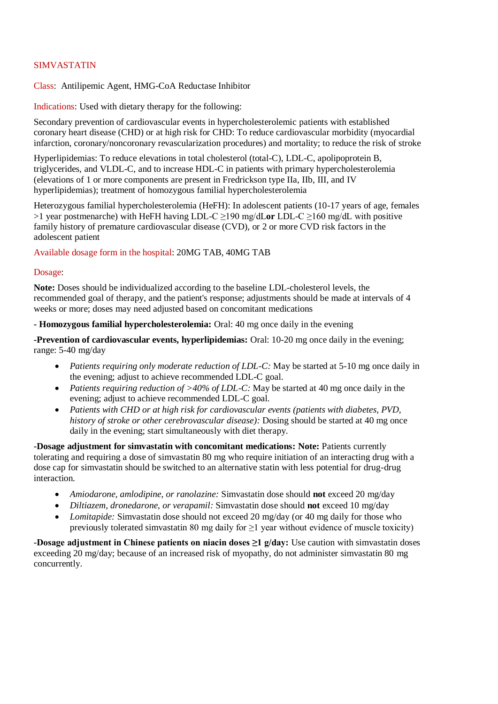## SIMVASTATIN

Class: Antilipemic Agent, HMG-CoA Reductase Inhibitor

Indications: Used with dietary therapy for the following:

Secondary prevention of cardiovascular events in hypercholesterolemic patients with established coronary heart disease (CHD) or at high risk for CHD: To reduce cardiovascular morbidity (myocardial infarction, coronary/noncoronary revascularization procedures) and mortality; to reduce the risk of stroke

Hyperlipidemias: To reduce elevations in total cholesterol (total-C), LDL-C, apolipoprotein B, triglycerides, and VLDL-C, and to increase HDL-C in patients with primary hypercholesterolemia (elevations of 1 or more components are present in Fredrickson type IIa, IIb, III, and IV hyperlipidemias); treatment of homozygous familial hypercholesterolemia

Heterozygous familial hypercholesterolemia (HeFH): In adolescent patients (10-17 years of age, females >1 year postmenarche) with HeFH having LDL-C ≥190 mg/dL**or** LDL-C ≥160 mg/dL with positive family history of premature cardiovascular disease (CVD), or 2 or more CVD risk factors in the adolescent patient

Available dosage form in the hospital: 20MG TAB, 40MG TAB

## Dosage:

**Note:** Doses should be individualized according to the baseline LDL-cholesterol levels, the recommended goal of therapy, and the patient's response; adjustments should be made at intervals of 4 weeks or more; doses may need adjusted based on concomitant medications

**- Homozygous familial hypercholesterolemia:** Oral: 40 mg once daily in the evening

**-Prevention of cardiovascular events, hyperlipidemias:** Oral: 10-20 mg once daily in the evening; range: 5-40 mg/day

- Patients requiring only moderate reduction of LDL-C: May be started at 5-10 mg once daily in the evening; adjust to achieve recommended LDL-C goal.
- *Patients requiring reduction of >40% of LDL-C:* May be started at 40 mg once daily in the evening; adjust to achieve recommended LDL-C goal.
- *Patients with CHD or at high risk for cardiovascular events (patients with diabetes, PVD, history of stroke or other cerebrovascular disease):* Dosing should be started at 40 mg once daily in the evening; start simultaneously with diet therapy.

**-Dosage adjustment for simvastatin with concomitant medications: Note:** Patients currently tolerating and requiring a dose of simvastatin 80 mg who require initiation of an interacting drug with a dose cap for simvastatin should be switched to an alternative statin with less potential for drug-drug interaction.

- *Amiodarone, amlodipine, or ranolazine:* Simvastatin dose should **not** exceed 20 mg/day
- *Diltiazem, dronedarone, or verapamil:* Simvastatin dose should **not** exceed 10 mg/day
- *Lomitapide:* Simvastatin dose should not exceed 20 mg/day (or 40 mg daily for those who previously tolerated simvastatin 80 mg daily for  $\geq$ 1 year without evidence of muscle toxicity)

**-Dosage adjustment in Chinese patients on niacin doses ≥1 g/day:** Use caution with simvastatin doses exceeding 20 mg/day; because of an increased risk of myopathy, do not administer simvastatin 80 mg concurrently.